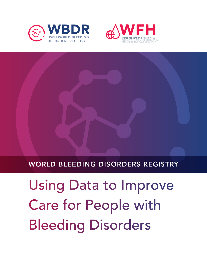



### WORLD BLEEDING DISORDERS REGISTRY

Using Data to Improve Care for People with Bleeding Disorders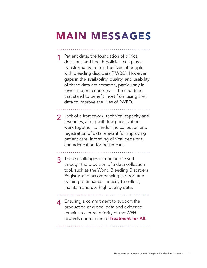## MAIN MESSAGES

Patient data, the foundation of clinical decisions and health policies, can play a transformative role in the lives of people with bleeding disorders (PWBD). However, gaps in the availability, quality, and usability of these data are common, particularly in lower-income countries — the countries that stand to benefit most from using their data to improve the lives of PWBD.

Lack of a framework, technical capacity and resources, along with low prioritization, work together to hinder the collection and registration of data relevant for improving patient care, informing clinical decisions, and advocating for better care.

3 These challenges can be addressed through the provision of a data collection tool, such as the World Bleeding Disorders Registry, and accompanying support and training to enhance capacity to collect, maintain and use high quality data.

 $\boldsymbol{A}$  Ensuring a commitment to support the production of global data and evidence remains a central priority of the WFH towards our mission of **Treatment for All**.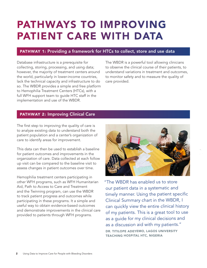## PATHWAYS TO IMPROVING PATIENT CARE WITH DATA

#### PATHWAY 1: Providing a framework for HTCs to collect, store and use data

Database infrastructure is a prerequisite for collecting, storing, processing, and using data; however, the majority of treatment centers around the world, particularly in lower-income countries, lack the technical capacity and infrastructure to do so. The WBDR provides a simple and free platform to Hemophilia Treatment Centers (HTCs), with a full WFH support team to guide HTC staff in the implementation and use of the WBDR.

The WBDR is a powerful tool allowing clinicians to observe the clinical course of their patients, to understand variations in treatment and outcomes, to monitor safety and to measure the quality of care provided.

#### PATHWAY 2: Improving Clinical Care

The first step to improving the quality of care is to analyze existing data to understand both the patient population and a center's organization of care to identify areas for improvement.

This data can then be used to establish a baseline for patient outcomes and improvements in the organization of care. Data collected at each follow up visit can be compared to the baseline visit to assess changes in patient outcomes over time.

Hemophilia treatment centers participating in other WFH programs, such as WFH Humanitarian Aid, Path to Access to Care and Treatment and the Twinning program, can use the WBDR to track patient progress and outcomes while participating in these programs. It a simple and useful way to obtain evidence-based outcomes and demonstrate improvements in the clinical care provided to patients through WFH programs.



"The WBDR has enabled us to store our patient data in a systematic and timely manner. Using the patient specific Clinical Summary chart in the WBDR, I can quickly view the entire clinical history of my patients. This is a great tool to use as a guide for my clinical decisions and as a discussion aid with my patients." DR. TITILOPE ADEYEMO, LAGOS UNIVERSITY TEACHING HOSPITAL HTC, NIGERIA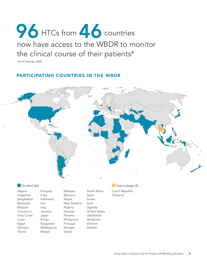# now have access to the WBDR to monitor the clinical course of their patients\* 96 HTCs from 46 countries

\*as of February 2022

#### PARTICIPATING COUNTRIES IN THE WBDR



Algeria Argentina Bangladesh Barbados Belgium Cameroon Ivory Coast Cuba Egypt Ethiopia Ghana

Hungary Indonesia Jamaica Japan Kenya Kyrgyzstan Madagascar Malawi Malaysia Morocco Nepal New Zealand Nigeria Pakistan Panama Philippines Portugal Senegal Serbia

India

Iran Iraq

South Africa Spain Sudan Syria Uganda United States Uzbekistan Venezuela Vietnam Zambia

Czech Republic

Thailand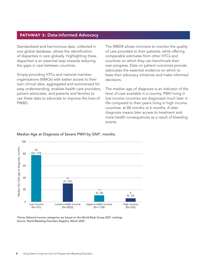#### PATHWAY 3: Data-informed Advocacy

Standardized and harmonious data, collected in one global database, allows the identification of disparities in care globally. Highlighting these disparities is an essential step towards reducing the gaps in care between countries.

Simply providing HTCs and national member organizations (NMOs) with better access to their own clinical data, aggregated and summarized for easy understanding, enables health care providers, patient advocates, and patients and families to use these data to advocate to improve the lives of PWBD.

The WBDR allows clinicians to monitor the quality of care provided to their patients, while offering comparable estimates from other HTCs and countries on which they can benchmark their own progress. Data on patient outcomes provide advocates the essential evidence on which to base their advocacy initiatives and make informed decisions.

The median age of diagnosis is an indicator of the level of care available in a country. PWH living in low income countries are diagnosed much later in life compared to their peers living in high income countries: at 88 months vs 6 months. A later diagnosis means later access to treatment and more health consequences as a result of bleeding events.



#### Median Age at Diagnosis of Severe PWH by GNI\*, months

\*Gross National Income categories are based on the World Bank Group 2021 rankings Source: World Bleeding Disorders Registry, March 2022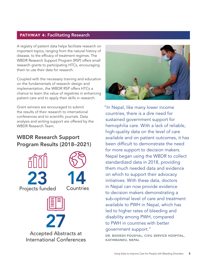#### PATHWAY 4: Facilitating Research

A registry of patient data helps facilitate research on important topics, ranging from the natural history of disease, to the efficacy of treatment regimes. The WBDR Research Support Program (RSP) offers small research grants to participating HTCs, encouraging them to use their data for research.

Coupled with the necessary training and education on the fundamentals of research design and implementation, the WBDR RSP offers HTCs a chance to learn the value of registries in enhancing patient care and to apply their skills in research.

Grant winners are encouraged to submit the results of their research to international conferences and to scientific journals. Data analysis and writing support are offered by the WBDR Research Team.

#### WBDR Research Support Program Results (2018–2021)





"In Nepal, like many lower income countries, there is a dire need for sustained government support for hemophilia care. With a lack of reliable, high-quality data on the level of care available and on patient outcomes, it has been difficult to demonstrate the need for more support to decision makers. Nepal began using the WBDR to collect standardized data in 2018, providing them much needed data and evidence on which to support their advocacy initiatives. With these data, doctors in Nepal can now provide evidence to decision makers demonstrating a sub-optimal level of care and treatment available to PWH in Nepal, which has led to higher rates of bleeding and disability among PWH, compared to PWH in countries with better government support."

DR. BISHESH POUDYAL, CIVIL SERVICE HOSPITAL, KATHMANDU, NEPAL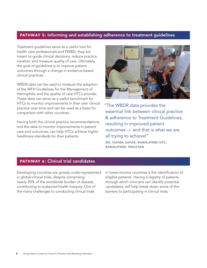#### PATHWAY 5: Informing and establishing adherence to treatment guidelines

Treatment guidelines serve as a useful tool for health care professionals and PWBD; they are meant to guide clinical decisions, reduce practice variation and measure quality of care. Ultimately, the goal of guidelines is to improve patient outcomes through a change in evidence-based clinical practices.

WBDR data can be used to measure the adoption of the WFH Guidelines for the Management of Hemophilia and the quality of care HTCs provide. These data can serve as a useful benchmark for HTCs to monitor improvements in their own clinical practice over time and can be used as a basis for comparison with other countries.

Having both the clinical practice recommendations and the data to monitor improvements in patient care and outcomes, can help HTCs achieve higher healthcare standards for their patients.



"The WBDR data provides the essential link between clinical practice & adherence to Treatment Guidelines, resulting in improved patient outcomes — and that is what we are all trying to achieve!"

DR. TAHIRA ZAFAR, RAWALPINDI HTC, RAWALPINDI, PAKISTAN

#### PATHWAY 6: Clinical trial candidates

Developing countries are grossly under-represented in global clinical trials, despite comprising nearly 90% of the worldwide burden of disease, contributing to sustained health inequity. One of the many challenges to conducting clinical trials

in lower-income countries is the identification of eligible patients. Having a registry of patients through which clinicians can identify potential candidates, will help break down some of the barriers to participating in clinical trials.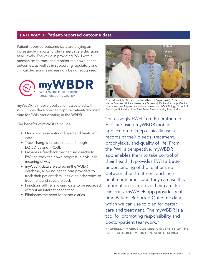#### PATHWAY 7: Patient-reported outcome data

Patient-reported outcome data are playing an increasingly important role in health care decisions at all levels. The value in providing PWH with a mechanism to track and monitor their own health outcomes, as well as in supporting regulatory and clinical decisions is increasingly being recognized.



myWBDR, a mobile application associated with WBDR, was developed to capture patient-reported data for PWH participating in the WBDR.

The benefits of myWBDR include:

- Quick and easy entry of bleed and treatment data
- Track changes in health status through EQ-5D-5L and PROBE
- Provides a feedback mechanism directly to PWH to track their own progress in a visually meaningful way
- myWBDR data are stored in the WBDR database, allowing health care providers to track their patient data, including adherence to treatment and severe bleeds
- Functions offline, allowing data to be recorded without an internet connection
- Eliminates the need for paper diaries



From left to right: Dr. Jaco Joubert (Head of Department), Professor Marius Coetzee (Affiliated Associate Professor), Dr. Leriska Haupt (Senior Haematologist), Department of Haematology and Cell Biology, School of Pathology, University of the Free State, Bloemfontein, South Africa

"Increasingly PWH from Bloemfontein HTC are using myWBDR mobile application to keep clinically useful records of their bleeds, treatment, prophylaxis, and quality of life. From the PWH's perspective, myWBDR app enables them to take control of their health. It provides PWH a better understanding of the relationship between their treatment and their health outcomes, and they can use this information to improve their care. For clinicians, myWBDR app provides realtime Patient-Reported Outcome data, which we can use to plan for better care and treatment. The myWBDR is a tool for promoting responsibility and doctor-patient teamwork."

PROFESSOR MARIUS COETZEE, UNIVERSITY OF THE FREE STATE, BLOEMFONTEIN, SOUTH AFRICA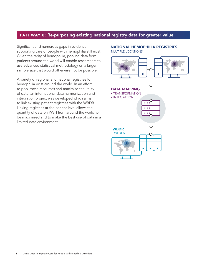#### PATHWAY 8: Re-purposing existing national registry data for greater value

Significant and numerous gaps in evidence supporting care of people with hemophilia still exist. Given the rarity of hemophilia, pooling data from patients around the world will enable researchers to use advanced statistical methodology on a larger sample size that would otherwise not be possible.

A variety of regional and national registries for hemophilia exist around the world. In an effort to pool these resources and maximize the utility of data, an international data harmonization and integration project was developed which aims to link existing patient registries with the WBDR. Linking registries at the patient level allows the quantity of data on PWH from around the world to be maximized and to make the best use of data in a limited data environment.

#### NATIONAL HEMOPHILIA REGISTRIES MULTIPLE LOCATIONS

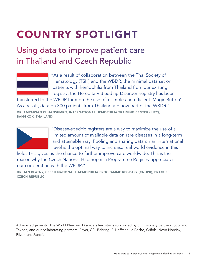# COUNTRY SPOTLIGHT

### Using data to improve patient care in Thailand and Czech Republic



"As a result of collaboration between the Thai Society of Hematology (TSH) and the WBDR, the minimal data set on patients with hemophilia from Thailand from our existing registry; the Hereditary Bleeding Disorder Registry has been

transferred to the WBDR through the use of a simple and efficient 'Magic Button'. As a result, data on 300 patients from Thailand are now part of the WBDR." DR. AMPAIWAN CHUANSUMRIT, INTERNATIONAL HEMOPHILIA TRAINING CENTER (IHTC),

BANGKOK, THAILAND



"Disease-specific registers are a way to maximize the use of a limited amount of available data on rare diseases in a long-term and attainable way. Pooling and sharing data on an international level is the optimal way to increase real-world evidence in this

field. This gives us the chance to further improve care worldwide. This is the reason why the Czech National Haemophilia Programme Registry appreciates our cooperation with the WBDR."

DR. JAN BLATNY, CZECH NATIONAL HAEMOPHILIA PROGRAMME REGISTRY (CNHPR), PRAGUE, CZECH REPUBLIC

Acknowledgements: The World Bleeding Disorders Registry is supported by our visionary partners: Sobi and Takeda; and our collaborating partners: Bayer, CSL Behring, F. Hoffman-La Roche, Grifols, Novo Nordisk, Pfizer, and Sanofi.